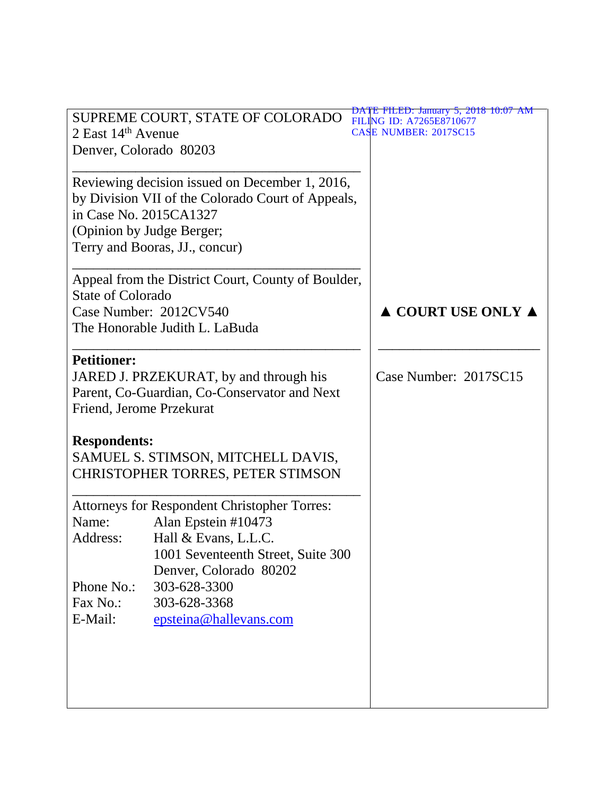| 2 East $14th$ Avenue<br>Denver, Colorado 80203                                                                                             | SUPREME COURT, STATE OF COLORADO                                                                                                                                   | <b>DATE FILED: January 5, 2018 10:07 AM</b><br>FILING ID: A7265E8710677<br><b>CASE NUMBER: 2017SC15</b> |
|--------------------------------------------------------------------------------------------------------------------------------------------|--------------------------------------------------------------------------------------------------------------------------------------------------------------------|---------------------------------------------------------------------------------------------------------|
| in Case No. 2015CA1327<br>(Opinion by Judge Berger;                                                                                        | Reviewing decision issued on December 1, 2016,<br>by Division VII of the Colorado Court of Appeals,<br>Terry and Booras, JJ., concur)                              |                                                                                                         |
| Appeal from the District Court, County of Boulder,<br><b>State of Colorado</b><br>Case Number: 2012CV540<br>The Honorable Judith L. LaBuda |                                                                                                                                                                    | $\triangle$ COURT USE ONLY $\triangle$                                                                  |
| <b>Petitioner:</b><br>JARED J. PRZEKURAT, by and through his<br>Parent, Co-Guardian, Co-Conservator and Next<br>Friend, Jerome Przekurat   |                                                                                                                                                                    | Case Number: 2017SC15                                                                                   |
| <b>Respondents:</b><br>SAMUEL S. STIMSON, MITCHELL DAVIS,<br><b>CHRISTOPHER TORRES, PETER STIMSON</b>                                      |                                                                                                                                                                    |                                                                                                         |
| Name:<br>Address:                                                                                                                          | <b>Attorneys for Respondent Christopher Torres:</b><br>Alan Epstein #10473<br>Hall & Evans, L.L.C.<br>1001 Seventeenth Street, Suite 300<br>Denver, Colorado 80202 |                                                                                                         |
| Phone No.:<br>Fax No.:<br>E-Mail:                                                                                                          | 303-628-3300<br>303-628-3368<br>epsteina@hallevans.com                                                                                                             |                                                                                                         |
|                                                                                                                                            |                                                                                                                                                                    |                                                                                                         |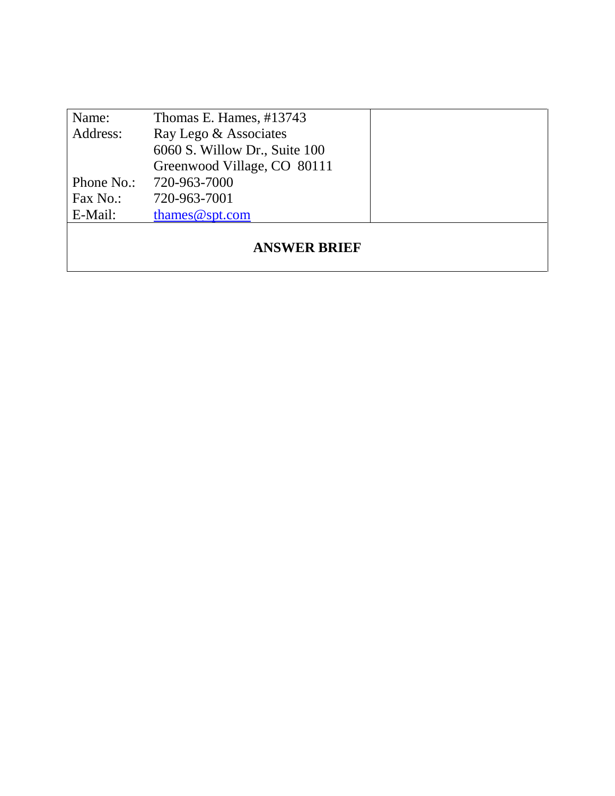| Name:               | Thomas E. Hames, #13743       |  |  |  |
|---------------------|-------------------------------|--|--|--|
| Address:            | Ray Lego & Associates         |  |  |  |
|                     | 6060 S. Willow Dr., Suite 100 |  |  |  |
|                     | Greenwood Village, CO 80111   |  |  |  |
| Phone No.:          | 720-963-7000                  |  |  |  |
| Fax No.:            | 720-963-7001                  |  |  |  |
| E-Mail:             | thames $@$ spt.com            |  |  |  |
| <b>ANSWER BRIEF</b> |                               |  |  |  |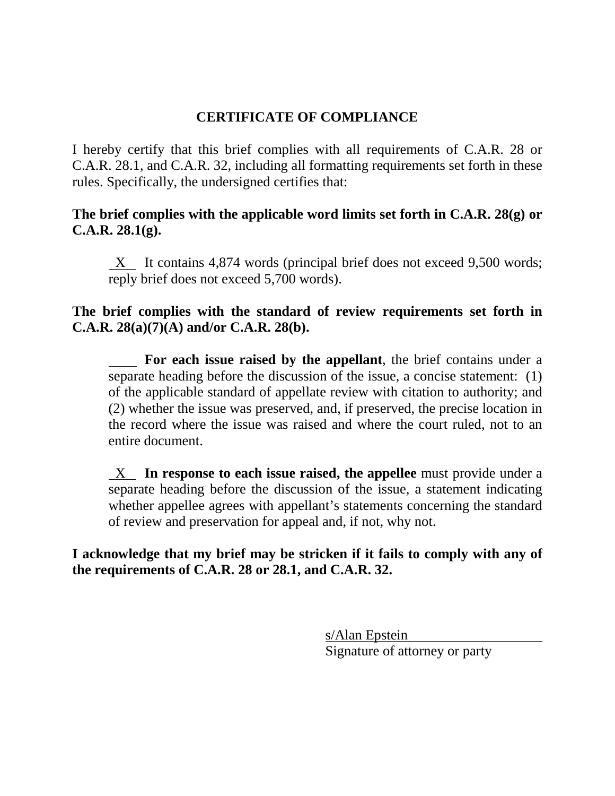# **CERTIFICATE OF COMPLIANCE**

I hereby certify that this brief complies with all requirements of C.A.R. 28 or C.A.R. 28.1, and C.A.R. 32, including all formatting requirements set forth in these rules. Specifically, the undersigned certifies that:

**The brief complies with the applicable word limits set forth in C.A.R. 28(g) or C.A.R. 28.1(g).**

 $X$  It contains 4,874 words (principal brief does not exceed 9,500 words; reply brief does not exceed 5,700 words).

## **The brief complies with the standard of review requirements set forth in C.A.R. 28(a)(7)(A) and/or C.A.R. 28(b).**

 **For each issue raised by the appellant**, the brief contains under a separate heading before the discussion of the issue, a concise statement: (1) of the applicable standard of appellate review with citation to authority; and (2) whether the issue was preserved, and, if preserved, the precise location in the record where the issue was raised and where the court ruled, not to an entire document.

 X **In response to each issue raised, the appellee** must provide under a separate heading before the discussion of the issue, a statement indicating whether appellee agrees with appellant's statements concerning the standard of review and preservation for appeal and, if not, why not.

**I acknowledge that my brief may be stricken if it fails to comply with any of the requirements of C.A.R. 28 or 28.1, and C.A.R. 32.**

> s/Alan Epstein Signature of attorney or party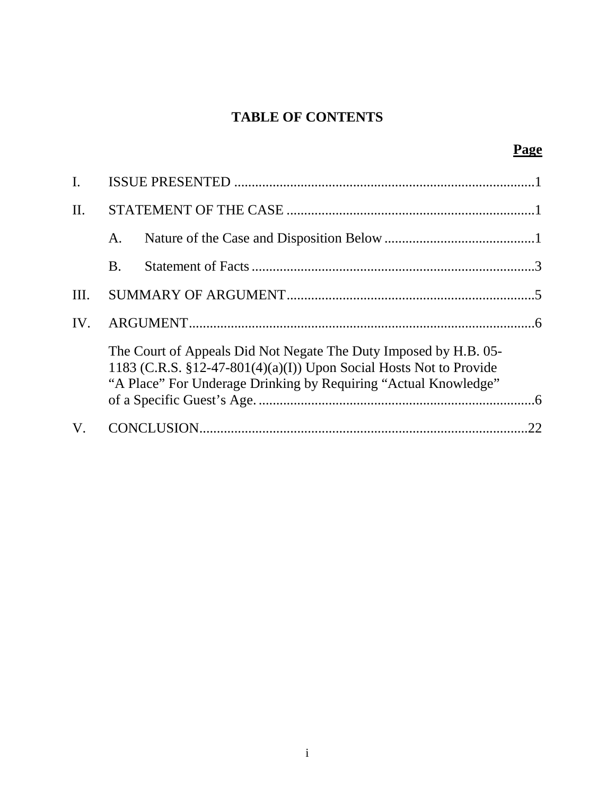# **TABLE OF CONTENTS**

| I.   |           |                                                                                                                                                                                                              |    |
|------|-----------|--------------------------------------------------------------------------------------------------------------------------------------------------------------------------------------------------------------|----|
| II.  |           |                                                                                                                                                                                                              |    |
|      | A.        |                                                                                                                                                                                                              |    |
|      | <b>B.</b> |                                                                                                                                                                                                              |    |
| III. |           |                                                                                                                                                                                                              |    |
| IV.  |           |                                                                                                                                                                                                              |    |
|      |           | The Court of Appeals Did Not Negate The Duty Imposed by H.B. 05-<br>1183 (C.R.S. $$12-47-801(4)(a)(I)$ ) Upon Social Hosts Not to Provide<br>"A Place" For Underage Drinking by Requiring "Actual Knowledge" |    |
| V.   |           |                                                                                                                                                                                                              | 22 |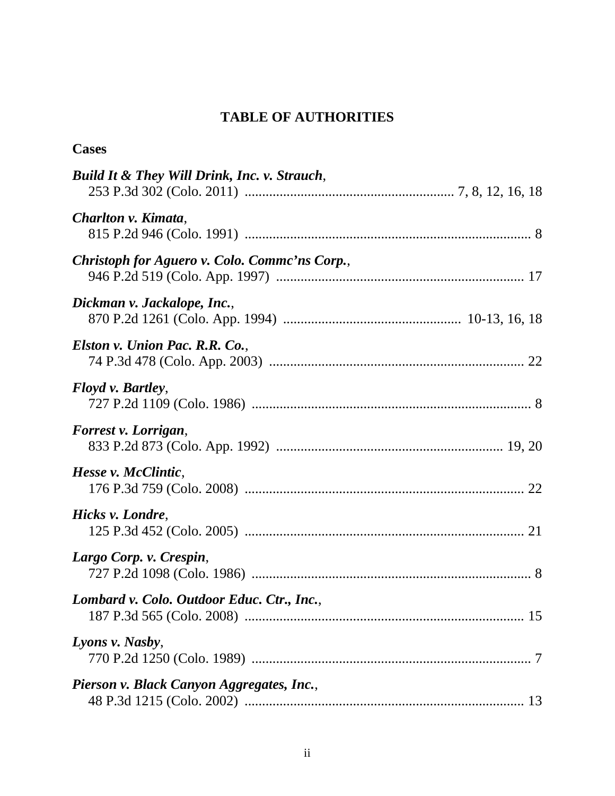# **TABLE OF AUTHORITIES**

| <b>Cases</b>                                  |
|-----------------------------------------------|
| Build It & They Will Drink, Inc. v. Strauch,  |
| Charlton v. Kimata,                           |
| Christoph for Aguero v. Colo. Commc'ns Corp., |
| Dickman v. Jackalope, Inc.,                   |
| Elston v. Union Pac. R.R. Co.,                |
| Floyd v. Bartley,                             |
| Forrest v. Lorrigan,                          |
| Hesse v. McClintic,                           |
| Hicks v. Londre,                              |
| Largo Corp. v. Crespin,                       |
| Lombard v. Colo. Outdoor Educ. Ctr., Inc.,    |
| Lyons v. Nasby,                               |
| Pierson v. Black Canyon Aggregates, Inc.,     |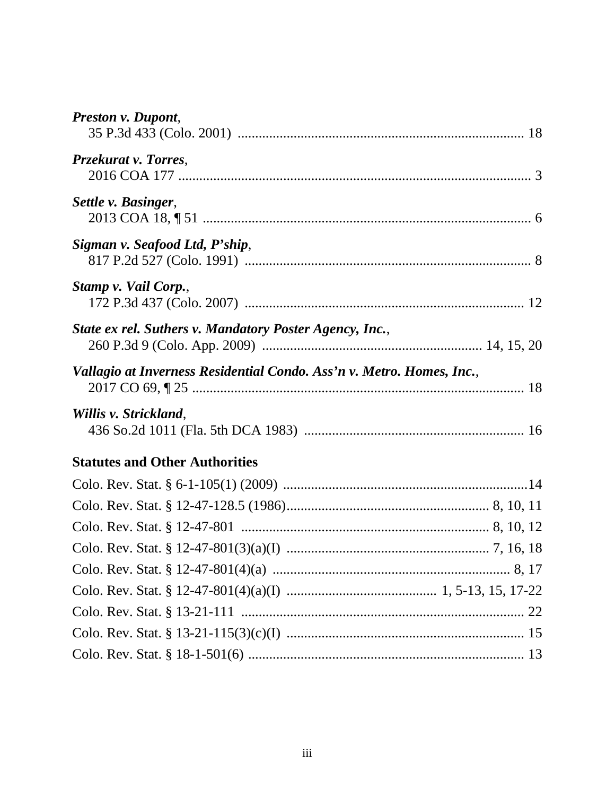| Preston v. Dupont,                                                    |  |
|-----------------------------------------------------------------------|--|
| Przekurat v. Torres,                                                  |  |
| Settle v. Basinger,                                                   |  |
| Sigman v. Seafood Ltd, P'ship,                                        |  |
| Stamp v. Vail Corp.,                                                  |  |
| State ex rel. Suthers v. Mandatory Poster Agency, Inc.,               |  |
| Vallagio at Inverness Residential Condo. Ass'n v. Metro. Homes, Inc., |  |
| Willis v. Strickland,                                                 |  |
| <b>Statutes and Other Authorities</b>                                 |  |
|                                                                       |  |
|                                                                       |  |
|                                                                       |  |
|                                                                       |  |
|                                                                       |  |
|                                                                       |  |
|                                                                       |  |
|                                                                       |  |
|                                                                       |  |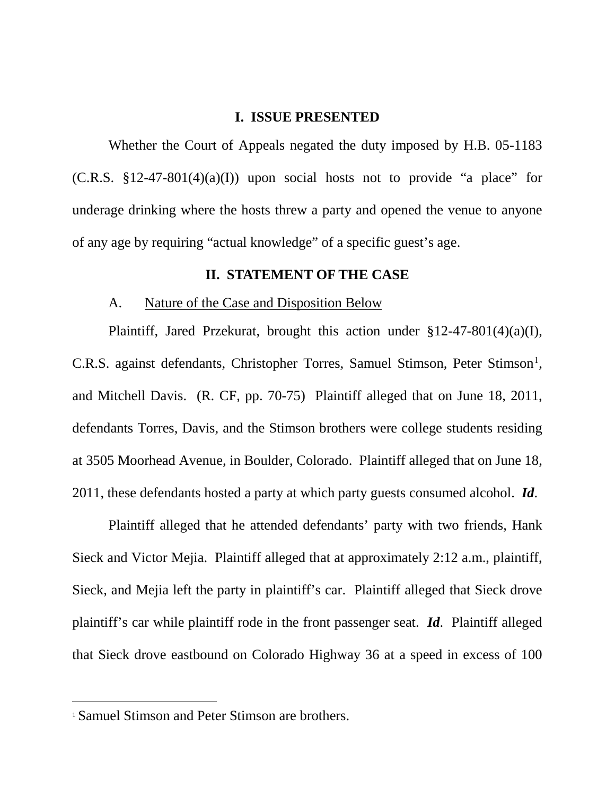### **I. ISSUE PRESENTED**

<span id="page-6-3"></span><span id="page-6-0"></span>Whether the Court of Appeals negated the duty imposed by H.B. 05-1183  $(C.R.S. §12-47-801(4)(a)(I))$  upon social hosts not to provide "a place" for underage drinking where the hosts threw a party and opened the venue to anyone of any age by requiring "actual knowledge" of a specific guest's age.

#### **II. STATEMENT OF THE CASE**

#### <span id="page-6-1"></span>A. Nature of the Case and Disposition Below

<span id="page-6-2"></span>Plaintiff, Jared Przekurat, brought this action under §12-47-801(4)(a)(I), C.R.S. against defendants, Christopher Torres, Samuel Stimson, Peter Stimson<sup>[1](#page-6-4)</sup>, and Mitchell Davis. (R. CF, pp. 70-75) Plaintiff alleged that on June 18, 2011, defendants Torres, Davis, and the Stimson brothers were college students residing at 3505 Moorhead Avenue, in Boulder, Colorado. Plaintiff alleged that on June 18, 2011, these defendants hosted a party at which party guests consumed alcohol. *Id*.

Plaintiff alleged that he attended defendants' party with two friends, Hank Sieck and Victor Mejia. Plaintiff alleged that at approximately 2:12 a.m., plaintiff, Sieck, and Mejia left the party in plaintiff's car. Plaintiff alleged that Sieck drove plaintiff's car while plaintiff rode in the front passenger seat. *Id*. Plaintiff alleged that Sieck drove eastbound on Colorado Highway 36 at a speed in excess of 100

 $\overline{a}$ 

<span id="page-6-4"></span><sup>1</sup> Samuel Stimson and Peter Stimson are brothers.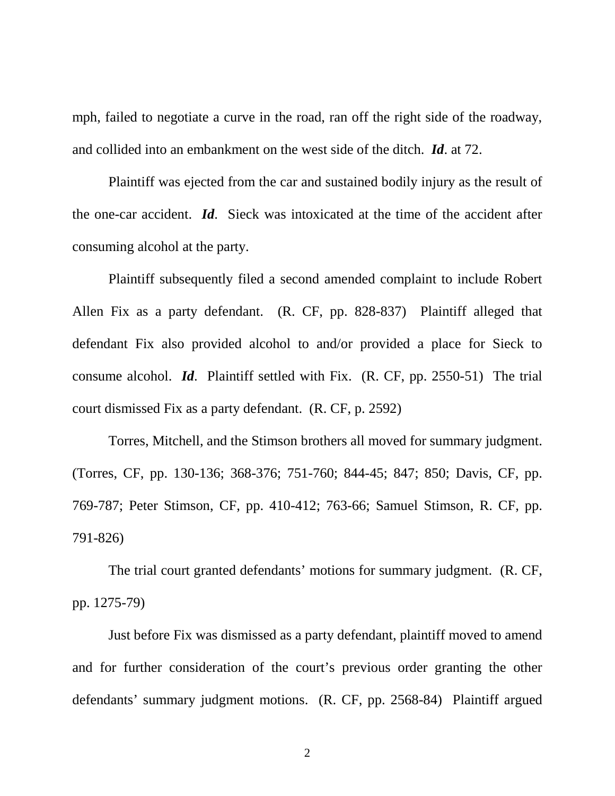mph, failed to negotiate a curve in the road, ran off the right side of the roadway, and collided into an embankment on the west side of the ditch. *Id*. at 72.

Plaintiff was ejected from the car and sustained bodily injury as the result of the one-car accident. *Id*. Sieck was intoxicated at the time of the accident after consuming alcohol at the party.

Plaintiff subsequently filed a second amended complaint to include Robert Allen Fix as a party defendant. (R. CF, pp. 828-837) Plaintiff alleged that defendant Fix also provided alcohol to and/or provided a place for Sieck to consume alcohol. *Id*. Plaintiff settled with Fix. (R. CF, pp. 2550-51) The trial court dismissed Fix as a party defendant. (R. CF, p. 2592)

Torres, Mitchell, and the Stimson brothers all moved for summary judgment. (Torres, CF, pp. 130-136; 368-376; 751-760; 844-45; 847; 850; Davis, CF, pp. 769-787; Peter Stimson, CF, pp. 410-412; 763-66; Samuel Stimson, R. CF, pp. 791-826)

The trial court granted defendants' motions for summary judgment. (R. CF, pp. 1275-79)

Just before Fix was dismissed as a party defendant, plaintiff moved to amend and for further consideration of the court's previous order granting the other defendants' summary judgment motions. (R. CF, pp. 2568-84) Plaintiff argued

2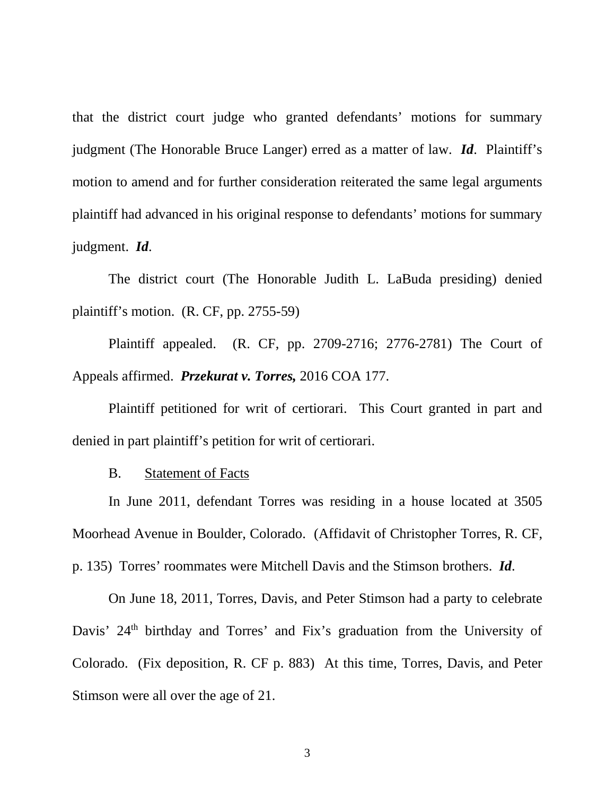that the district court judge who granted defendants' motions for summary judgment (The Honorable Bruce Langer) erred as a matter of law. *Id*. Plaintiff's motion to amend and for further consideration reiterated the same legal arguments plaintiff had advanced in his original response to defendants' motions for summary judgment. *Id*.

The district court (The Honorable Judith L. LaBuda presiding) denied plaintiff's motion. (R. CF, pp. 2755-59)

<span id="page-8-1"></span>Plaintiff appealed. (R. CF, pp. 2709-2716; 2776-2781) The Court of Appeals affirmed. *Przekurat v. Torres,* 2016 COA 177.

Plaintiff petitioned for writ of certiorari. This Court granted in part and denied in part plaintiff's petition for writ of certiorari.

B. Statement of Facts

<span id="page-8-0"></span>In June 2011, defendant Torres was residing in a house located at 3505 Moorhead Avenue in Boulder, Colorado. (Affidavit of Christopher Torres, R. CF, p. 135) Torres' roommates were Mitchell Davis and the Stimson brothers. *Id*.

On June 18, 2011, Torres, Davis, and Peter Stimson had a party to celebrate Davis' 24<sup>th</sup> birthday and Torres' and Fix's graduation from the University of Colorado. (Fix deposition, R. CF p. 883) At this time, Torres, Davis, and Peter Stimson were all over the age of 21.

3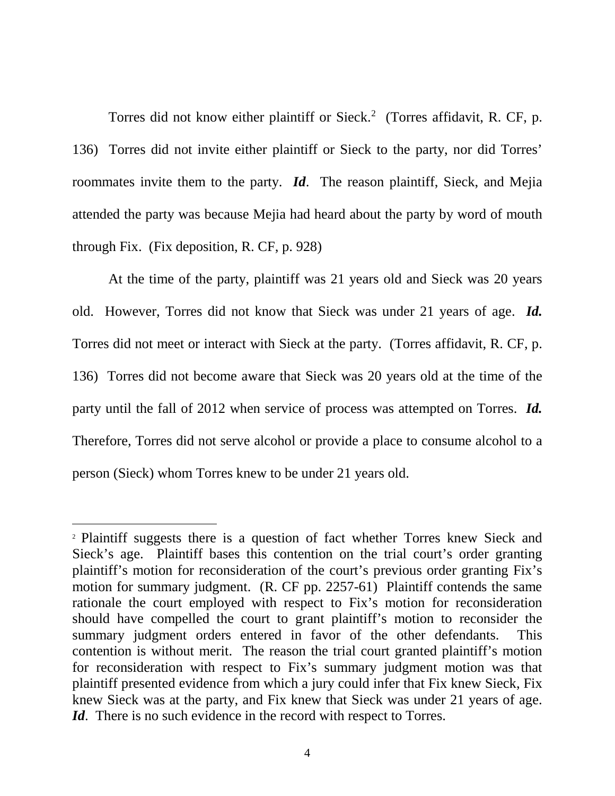Torres did not know either plaintiff or Sieck.<sup>[2](#page-9-0)</sup> (Torres affidavit, R. CF, p. 136) Torres did not invite either plaintiff or Sieck to the party, nor did Torres' roommates invite them to the party. *Id*. The reason plaintiff, Sieck, and Mejia attended the party was because Mejia had heard about the party by word of mouth through Fix. (Fix deposition, R. CF, p. 928)

At the time of the party, plaintiff was 21 years old and Sieck was 20 years old. However, Torres did not know that Sieck was under 21 years of age. *Id.*  Torres did not meet or interact with Sieck at the party. (Torres affidavit, R. CF, p. 136) Torres did not become aware that Sieck was 20 years old at the time of the party until the fall of 2012 when service of process was attempted on Torres. *Id.*  Therefore, Torres did not serve alcohol or provide a place to consume alcohol to a person (Sieck) whom Torres knew to be under 21 years old.

 $\overline{a}$ 

<span id="page-9-0"></span><sup>2</sup> Plaintiff suggests there is a question of fact whether Torres knew Sieck and Sieck's age. Plaintiff bases this contention on the trial court's order granting plaintiff's motion for reconsideration of the court's previous order granting Fix's motion for summary judgment. (R. CF pp. 2257-61) Plaintiff contends the same rationale the court employed with respect to Fix's motion for reconsideration should have compelled the court to grant plaintiff's motion to reconsider the summary judgment orders entered in favor of the other defendants. This contention is without merit. The reason the trial court granted plaintiff's motion for reconsideration with respect to Fix's summary judgment motion was that plaintiff presented evidence from which a jury could infer that Fix knew Sieck, Fix knew Sieck was at the party, and Fix knew that Sieck was under 21 years of age. *Id*. There is no such evidence in the record with respect to Torres.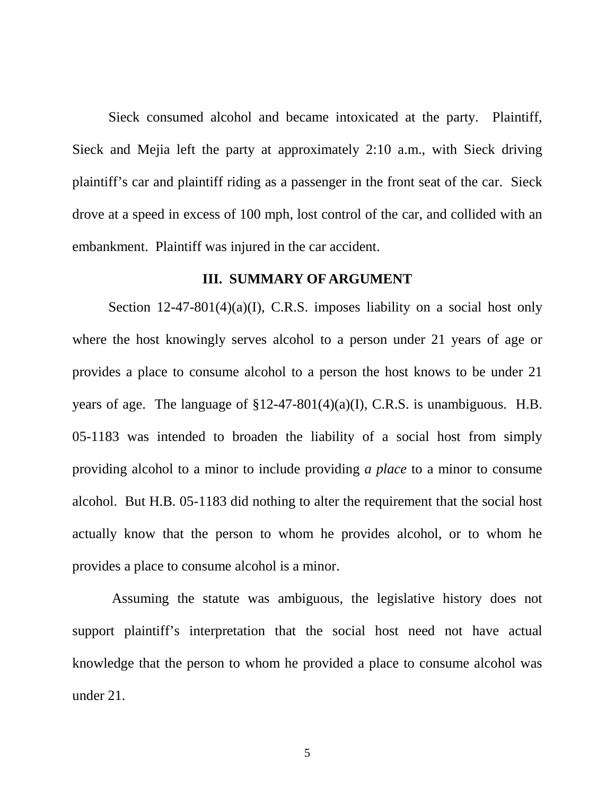Sieck consumed alcohol and became intoxicated at the party. Plaintiff, Sieck and Mejia left the party at approximately 2:10 a.m., with Sieck driving plaintiff's car and plaintiff riding as a passenger in the front seat of the car. Sieck drove at a speed in excess of 100 mph, lost control of the car, and collided with an embankment. Plaintiff was injured in the car accident.

#### **III. SUMMARY OF ARGUMENT**

<span id="page-10-1"></span><span id="page-10-0"></span>Section 12-47-801(4)(a)(I), C.R.S. imposes liability on a social host only where the host knowingly serves alcohol to a person under 21 years of age or provides a place to consume alcohol to a person the host knows to be under 21 years of age. The language of  $\S12-47-801(4)(a)(I)$ , C.R.S. is unambiguous. H.B. 05-1183 was intended to broaden the liability of a social host from simply providing alcohol to a minor to include providing *a place* to a minor to consume alcohol. But H.B. 05-1183 did nothing to alter the requirement that the social host actually know that the person to whom he provides alcohol, or to whom he provides a place to consume alcohol is a minor.

Assuming the statute was ambiguous, the legislative history does not support plaintiff's interpretation that the social host need not have actual knowledge that the person to whom he provided a place to consume alcohol was under 21.

5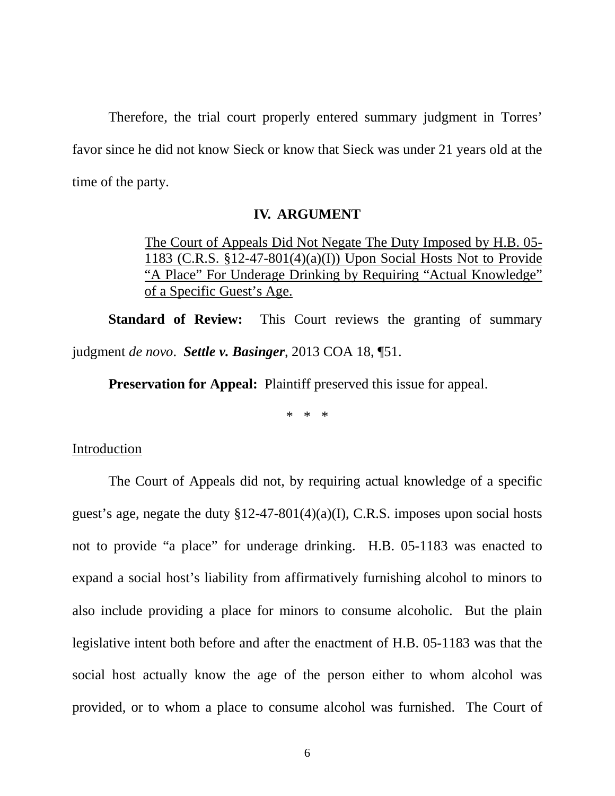Therefore, the trial court properly entered summary judgment in Torres' favor since he did not know Sieck or know that Sieck was under 21 years old at the time of the party.

#### **IV. ARGUMENT**

<span id="page-11-1"></span><span id="page-11-0"></span>The Court of Appeals Did Not Negate The Duty Imposed by H.B. 05- 1183 (C.R.S. §12-47-801(4)(a)(I)) Upon Social Hosts Not to Provide "A Place" For Underage Drinking by Requiring "Actual Knowledge" of a Specific Guest's Age.

**Standard of Review:** This Court reviews the granting of summary judgment *de novo*. *Settle v. Basinger*, 2013 COA 18, ¶51.

<span id="page-11-2"></span>**Preservation for Appeal:** Plaintiff preserved this issue for appeal.

\* \* \*

#### Introduction

The Court of Appeals did not, by requiring actual knowledge of a specific guest's age, negate the duty  $$12-47-801(4)(a)(I)$ , C.R.S. imposes upon social hosts not to provide "a place" for underage drinking. H.B. 05-1183 was enacted to expand a social host's liability from affirmatively furnishing alcohol to minors to also include providing a place for minors to consume alcoholic. But the plain legislative intent both before and after the enactment of H.B. 05-1183 was that the social host actually know the age of the person either to whom alcohol was provided, or to whom a place to consume alcohol was furnished. The Court of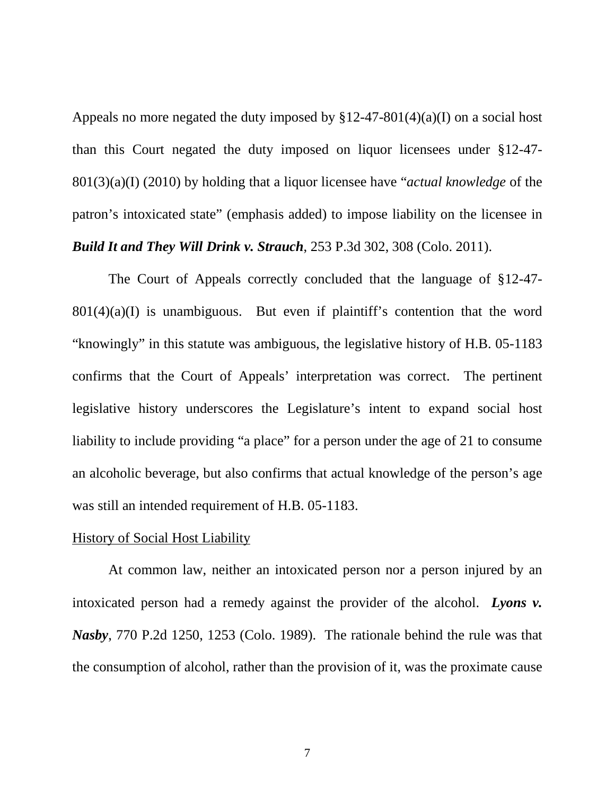Appeals no more negated the duty imposed by  $$12-47-801(4)(a)(I)$  on a social host than this Court negated the duty imposed on liquor licensees under §12-47- 801(3)(a)(I) (2010) by holding that a liquor licensee have "*actual knowledge* of the patron's intoxicated state" (emphasis added) to impose liability on the licensee in *Build It and They Will Drink v. Strauch*, 253 P.3d 302, 308 (Colo. 2011).

<span id="page-12-0"></span>The Court of Appeals correctly concluded that the language of §12-47-  $801(4)(a)(I)$  is unambiguous. But even if plaintiff's contention that the word "knowingly" in this statute was ambiguous, the legislative history of H.B. 05-1183 confirms that the Court of Appeals' interpretation was correct. The pertinent legislative history underscores the Legislature's intent to expand social host liability to include providing "a place" for a person under the age of 21 to consume an alcoholic beverage, but also confirms that actual knowledge of the person's age was still an intended requirement of H.B. 05-1183.

## History of Social Host Liability

<span id="page-12-1"></span>At common law, neither an intoxicated person nor a person injured by an intoxicated person had a remedy against the provider of the alcohol. *Lyons v. Nasby*, 770 P.2d 1250, 1253 (Colo. 1989). The rationale behind the rule was that the consumption of alcohol, rather than the provision of it, was the proximate cause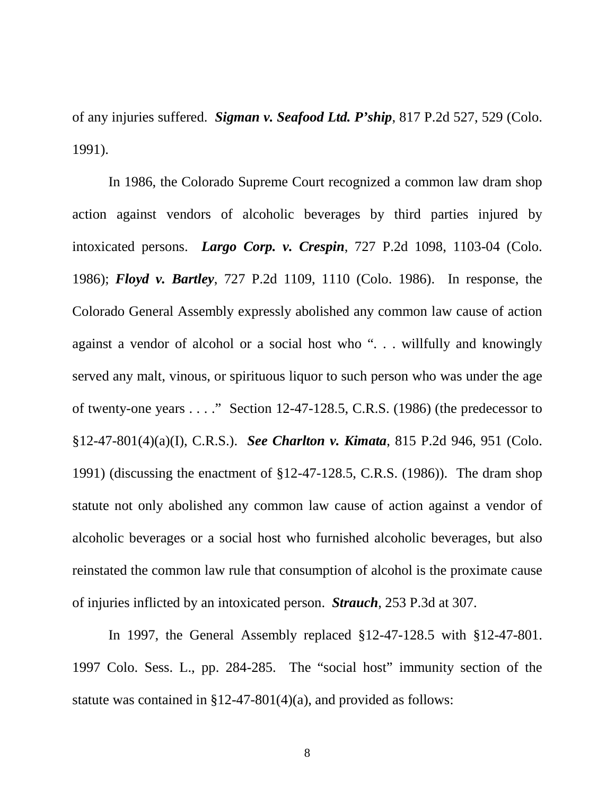<span id="page-13-4"></span>of any injuries suffered. *Sigman v. Seafood Ltd. P'ship*, 817 P.2d 527, 529 (Colo. 1991).

<span id="page-13-5"></span><span id="page-13-3"></span><span id="page-13-2"></span>In 1986, the Colorado Supreme Court recognized a common law dram shop action against vendors of alcoholic beverages by third parties injured by intoxicated persons. *Largo Corp. v. Crespin*, 727 P.2d 1098, 1103-04 (Colo. 1986); *Floyd v. Bartley*, 727 P.2d 1109, 1110 (Colo. 1986). In response, the Colorado General Assembly expressly abolished any common law cause of action against a vendor of alcohol or a social host who ". . . willfully and knowingly served any malt, vinous, or spirituous liquor to such person who was under the age of twenty-one years  $\dots$ ." Section 12-47-128.5, C.R.S. (1986) (the predecessor to §12-47-801(4)(a)(I), C.R.S.). *See Charlton v. Kimata*, 815 P.2d 946, 951 (Colo. 1991) (discussing the enactment of §12-47-128.5, C.R.S. (1986)). The dram shop statute not only abolished any common law cause of action against a vendor of alcoholic beverages or a social host who furnished alcoholic beverages, but also reinstated the common law rule that consumption of alcohol is the proximate cause of injuries inflicted by an intoxicated person. *Strauch*, 253 P.3d at 307.

<span id="page-13-1"></span>In 1997, the General Assembly replaced §12-47-128.5 with §12-47-801. 1997 Colo. Sess. L., pp. 284-285. The "social host" immunity section of the statute was contained in §12-47-801(4)(a), and provided as follows:

<span id="page-13-0"></span>8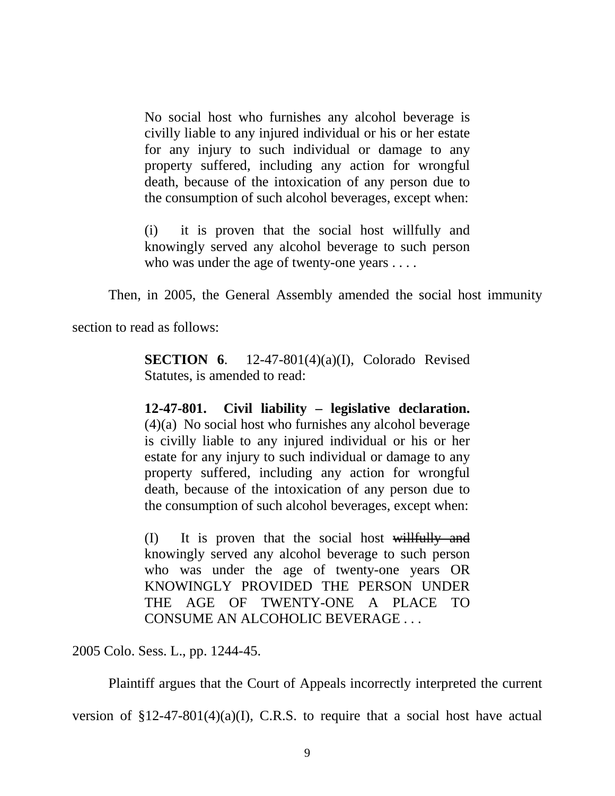No social host who furnishes any alcohol beverage is civilly liable to any injured individual or his or her estate for any injury to such individual or damage to any property suffered, including any action for wrongful death, because of the intoxication of any person due to the consumption of such alcohol beverages, except when:

(i) it is proven that the social host willfully and knowingly served any alcohol beverage to such person who was under the age of twenty-one years . . . .

Then, in 2005, the General Assembly amended the social host immunity

section to read as follows:

**SECTION 6.** 12-47-801(4)(a)(I), Colorado Revised Statutes, is amended to read:

**12-47-801. Civil liability – legislative declaration.** (4)(a) No social host who furnishes any alcohol beverage is civilly liable to any injured individual or his or her estate for any injury to such individual or damage to any property suffered, including any action for wrongful death, because of the intoxication of any person due to the consumption of such alcohol beverages, except when:

(I) It is proven that the social host willfully and knowingly served any alcohol beverage to such person who was under the age of twenty-one years OR KNOWINGLY PROVIDED THE PERSON UNDER THE AGE OF TWENTY-ONE A PLACE TO CONSUME AN ALCOHOLIC BEVERAGE . . .

2005 Colo. Sess. L., pp. 1244-45.

Plaintiff argues that the Court of Appeals incorrectly interpreted the current

version of  $$12-47-801(4)(a)(I)$ , C.R.S. to require that a social host have actual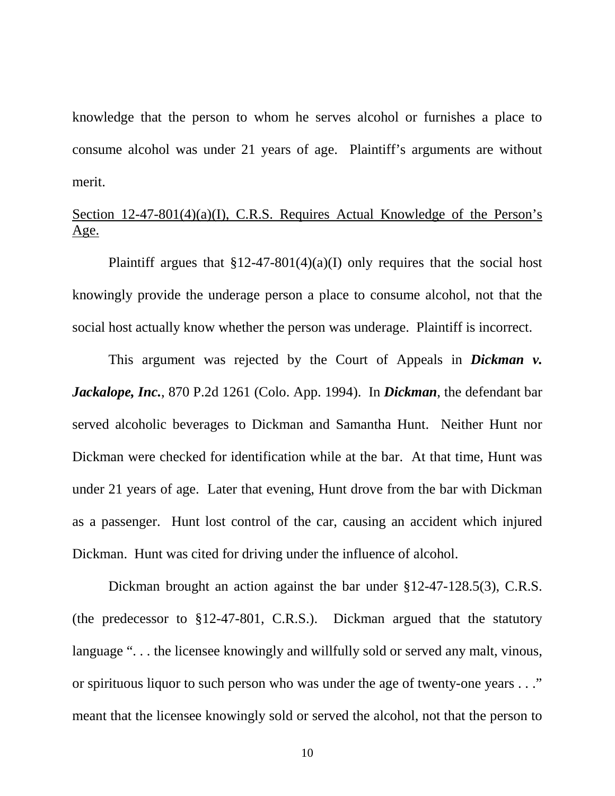knowledge that the person to whom he serves alcohol or furnishes a place to consume alcohol was under 21 years of age. Plaintiff's arguments are without merit.

# Section 12-47-801(4)(a)(I), C.R.S. Requires Actual Knowledge of the Person's Age.

Plaintiff argues that  $$12-47-801(4)(a)(I)$  only requires that the social host knowingly provide the underage person a place to consume alcohol, not that the social host actually know whether the person was underage. Plaintiff is incorrect.

<span id="page-15-0"></span>This argument was rejected by the Court of Appeals in *Dickman v. Jackalope, Inc.*, 870 P.2d 1261 (Colo. App. 1994). In *Dickman*, the defendant bar served alcoholic beverages to Dickman and Samantha Hunt. Neither Hunt nor Dickman were checked for identification while at the bar. At that time, Hunt was under 21 years of age. Later that evening, Hunt drove from the bar with Dickman as a passenger. Hunt lost control of the car, causing an accident which injured Dickman. Hunt was cited for driving under the influence of alcohol.

<span id="page-15-1"></span>Dickman brought an action against the bar under §12-47-128.5(3), C.R.S. (the predecessor to §12-47-801, C.R.S.). Dickman argued that the statutory language "... the licensee knowingly and willfully sold or served any malt, vinous, or spirituous liquor to such person who was under the age of twenty-one years . . ." meant that the licensee knowingly sold or served the alcohol, not that the person to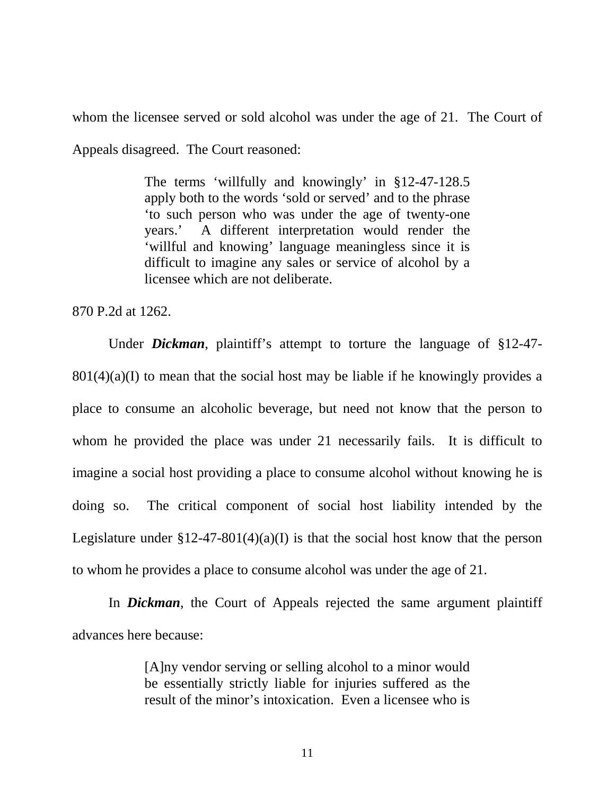whom the licensee served or sold alcohol was under the age of 21. The Court of Appeals disagreed. The Court reasoned:

> The terms 'willfully and knowingly' in §12-47-128.5 apply both to the words 'sold or served' and to the phrase 'to such person who was under the age of twenty-one years.' A different interpretation would render the 'willful and knowing' language meaningless since it is difficult to imagine any sales or service of alcohol by a licensee which are not deliberate.

870 P.2d at 1262.

Under *Dickman*, plaintiff's attempt to torture the language of §12-47-  $801(4)(a)$  to mean that the social host may be liable if he knowingly provides a place to consume an alcoholic beverage, but need not know that the person to whom he provided the place was under 21 necessarily fails. It is difficult to imagine a social host providing a place to consume alcohol without knowing he is doing so. The critical component of social host liability intended by the Legislature under  $$12-47-801(4)(a)(I)$  is that the social host know that the person to whom he provides a place to consume alcohol was under the age of 21.

In *Dickman*, the Court of Appeals rejected the same argument plaintiff advances here because:

> [A]ny vendor serving or selling alcohol to a minor would be essentially strictly liable for injuries suffered as the result of the minor's intoxication. Even a licensee who is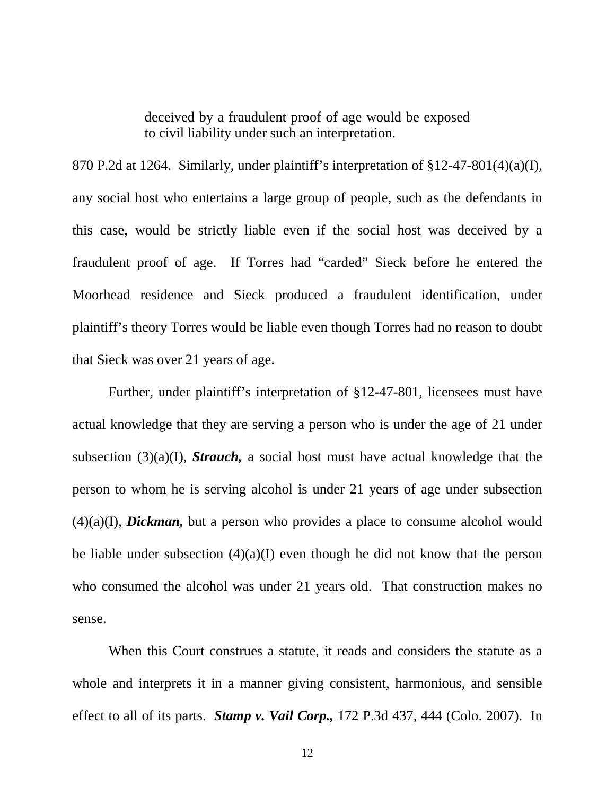deceived by a fraudulent proof of age would be exposed to civil liability under such an interpretation.

870 P.2d at 1264. Similarly, under plaintiff's interpretation of §12-47-801(4)(a)(I), any social host who entertains a large group of people, such as the defendants in this case, would be strictly liable even if the social host was deceived by a fraudulent proof of age. If Torres had "carded" Sieck before he entered the Moorhead residence and Sieck produced a fraudulent identification, under plaintiff's theory Torres would be liable even though Torres had no reason to doubt that Sieck was over 21 years of age.

Further, under plaintiff's interpretation of §12-47-801, licensees must have actual knowledge that they are serving a person who is under the age of 21 under subsection (3)(a)(I), *Strauch,* a social host must have actual knowledge that the person to whom he is serving alcohol is under 21 years of age under subsection (4)(a)(I), *Dickman,* but a person who provides a place to consume alcohol would be liable under subsection  $(4)(a)(I)$  even though he did not know that the person who consumed the alcohol was under 21 years old. That construction makes no sense.

<span id="page-17-0"></span>When this Court construes a statute, it reads and considers the statute as a whole and interprets it in a manner giving consistent, harmonious, and sensible effect to all of its parts. *Stamp v. Vail Corp.,* 172 P.3d 437, 444 (Colo. 2007). In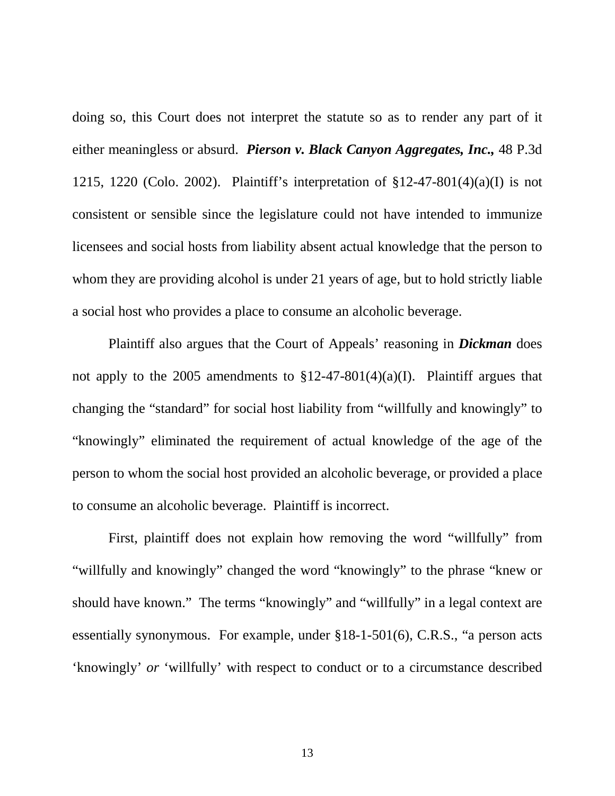<span id="page-18-0"></span>doing so, this Court does not interpret the statute so as to render any part of it either meaningless or absurd. *Pierson v. Black Canyon Aggregates, Inc.,* 48 P.3d 1215, 1220 (Colo. 2002). Plaintiff's interpretation of  $$12-47-801(4)(a)(I)$  is not consistent or sensible since the legislature could not have intended to immunize licensees and social hosts from liability absent actual knowledge that the person to whom they are providing alcohol is under 21 years of age, but to hold strictly liable a social host who provides a place to consume an alcoholic beverage.

Plaintiff also argues that the Court of Appeals' reasoning in *Dickman* does not apply to the 2005 amendments to  $\S 12-47-801(4)(a)(I)$ . Plaintiff argues that changing the "standard" for social host liability from "willfully and knowingly" to "knowingly" eliminated the requirement of actual knowledge of the age of the person to whom the social host provided an alcoholic beverage, or provided a place to consume an alcoholic beverage. Plaintiff is incorrect.

<span id="page-18-1"></span>First, plaintiff does not explain how removing the word "willfully" from "willfully and knowingly" changed the word "knowingly" to the phrase "knew or should have known." The terms "knowingly" and "willfully" in a legal context are essentially synonymous. For example, under §18-1-501(6), C.R.S., "a person acts 'knowingly' *or* 'willfully' with respect to conduct or to a circumstance described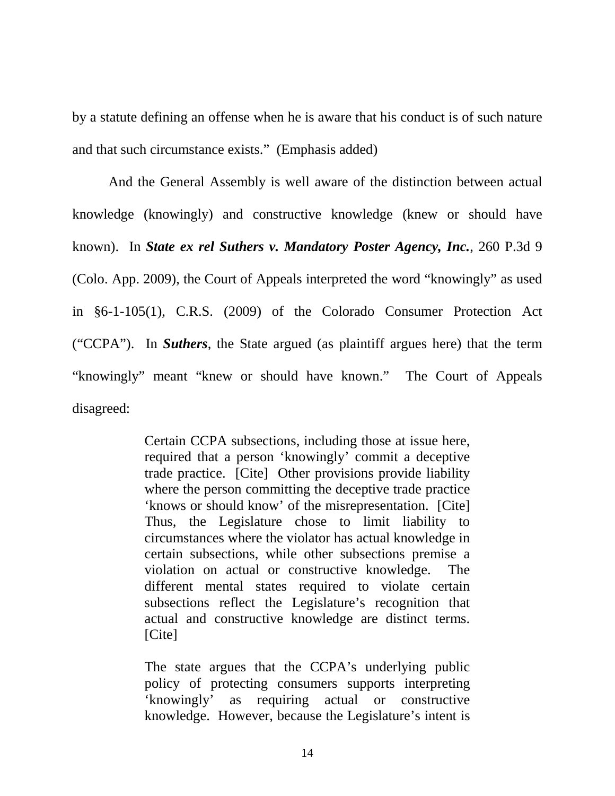by a statute defining an offense when he is aware that his conduct is of such nature and that such circumstance exists." (Emphasis added)

<span id="page-19-1"></span><span id="page-19-0"></span>And the General Assembly is well aware of the distinction between actual knowledge (knowingly) and constructive knowledge (knew or should have known). In *State ex rel Suthers v. Mandatory Poster Agency, Inc.*, 260 P.3d 9 (Colo. App. 2009), the Court of Appeals interpreted the word "knowingly" as used in §6-1-105(1), C.R.S. (2009) of the Colorado Consumer Protection Act ("CCPA"). In *Suthers*, the State argued (as plaintiff argues here) that the term "knowingly" meant "knew or should have known." The Court of Appeals disagreed:

> Certain CCPA subsections, including those at issue here, required that a person 'knowingly' commit a deceptive trade practice. [Cite] Other provisions provide liability where the person committing the deceptive trade practice 'knows or should know' of the misrepresentation. [Cite] Thus, the Legislature chose to limit liability to circumstances where the violator has actual knowledge in certain subsections, while other subsections premise a violation on actual or constructive knowledge. The different mental states required to violate certain subsections reflect the Legislature's recognition that actual and constructive knowledge are distinct terms. [Cite]

> The state argues that the CCPA's underlying public policy of protecting consumers supports interpreting 'knowingly' as requiring actual or constructive knowledge. However, because the Legislature's intent is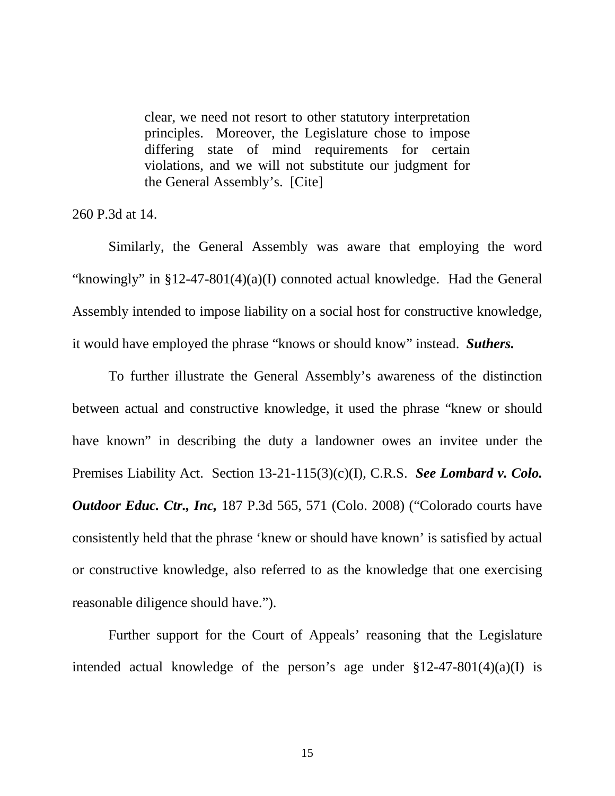clear, we need not resort to other statutory interpretation principles. Moreover, the Legislature chose to impose differing state of mind requirements for certain violations, and we will not substitute our judgment for the General Assembly's. [Cite]

<span id="page-20-1"></span>260 P.3d at 14.

Similarly, the General Assembly was aware that employing the word "knowingly" in §12-47-801(4)(a)(I) connoted actual knowledge. Had the General Assembly intended to impose liability on a social host for constructive knowledge, it would have employed the phrase "knows or should know" instead. *Suthers.* 

<span id="page-20-2"></span>To further illustrate the General Assembly's awareness of the distinction between actual and constructive knowledge, it used the phrase "knew or should have known" in describing the duty a landowner owes an invitee under the Premises Liability Act. Section 13-21-115(3)(c)(I), C.R.S. *See Lombard v. Colo. Outdoor Educ. Ctr., Inc, 187 P.3d 565, 571 (Colo. 2008) ("Colorado courts have* consistently held that the phrase 'knew or should have known' is satisfied by actual or constructive knowledge, also referred to as the knowledge that one exercising reasonable diligence should have.").

Further support for the Court of Appeals' reasoning that the Legislature intended actual knowledge of the person's age under  $$12-47-801(4)(a)(I)$  is

<span id="page-20-0"></span>15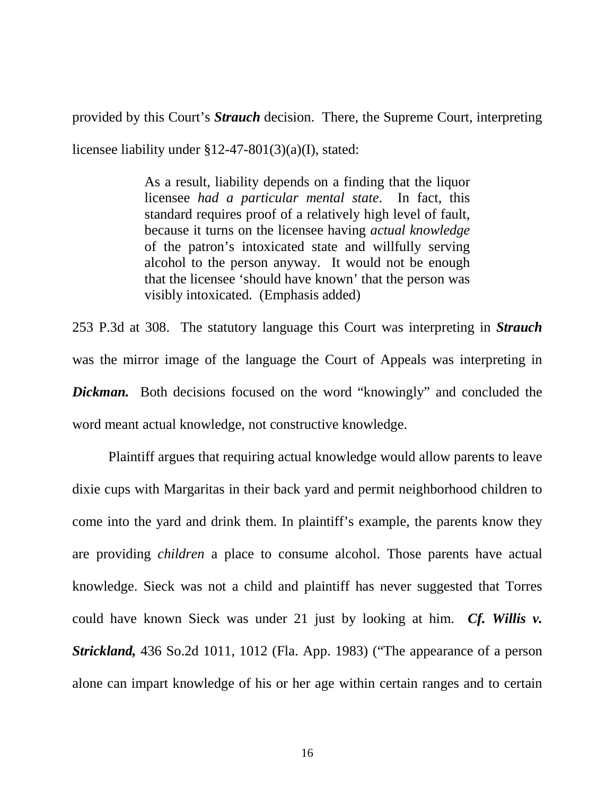provided by this Court's *Strauch* decision. There, the Supreme Court, interpreting licensee liability under §12-47-801(3)(a)(I), stated:

> <span id="page-21-2"></span>As a result, liability depends on a finding that the liquor licensee *had a particular mental state*. In fact, this standard requires proof of a relatively high level of fault, because it turns on the licensee having *actual knowledge* of the patron's intoxicated state and willfully serving alcohol to the person anyway. It would not be enough that the licensee 'should have known' that the person was visibly intoxicated. (Emphasis added)

<span id="page-21-0"></span>253 P.3d at 308. The statutory language this Court was interpreting in *Strauch*  was the mirror image of the language the Court of Appeals was interpreting in *Dickman.* Both decisions focused on the word "knowingly" and concluded the word meant actual knowledge, not constructive knowledge.

<span id="page-21-1"></span>Plaintiff argues that requiring actual knowledge would allow parents to leave dixie cups with Margaritas in their back yard and permit neighborhood children to come into the yard and drink them. In plaintiff's example, the parents know they are providing *children* a place to consume alcohol. Those parents have actual knowledge. Sieck was not a child and plaintiff has never suggested that Torres could have known Sieck was under 21 just by looking at him. *Cf. Willis v. Strickland,* 436 So.2d 1011, 1012 (Fla. App. 1983) ("The appearance of a person alone can impart knowledge of his or her age within certain ranges and to certain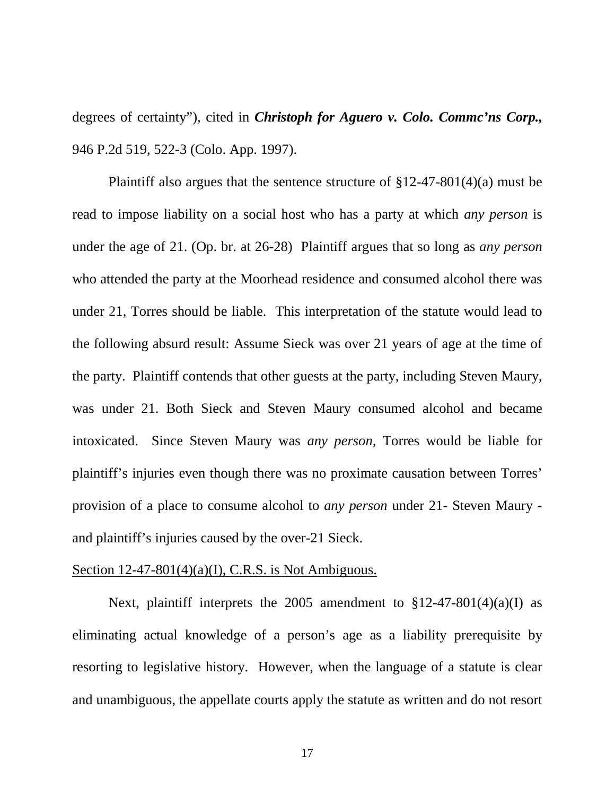<span id="page-22-0"></span>degrees of certainty"), cited in *Christoph for Aguero v. Colo. Commc'ns Corp.,*  946 P.2d 519, 522-3 (Colo. App. 1997).

Plaintiff also argues that the sentence structure of  $\S 12-47-801(4)(a)$  must be read to impose liability on a social host who has a party at which *any person* is under the age of 21. (Op. br. at 26-28) Plaintiff argues that so long as *any person* who attended the party at the Moorhead residence and consumed alcohol there was under 21, Torres should be liable. This interpretation of the statute would lead to the following absurd result: Assume Sieck was over 21 years of age at the time of the party. Plaintiff contends that other guests at the party, including Steven Maury, was under 21. Both Sieck and Steven Maury consumed alcohol and became intoxicated. Since Steven Maury was *any person,* Torres would be liable for plaintiff's injuries even though there was no proximate causation between Torres' provision of a place to consume alcohol to *any person* under 21- Steven Maury and plaintiff's injuries caused by the over-21 Sieck.

#### <span id="page-22-1"></span>Section  $12-47-801(4)(a)(I)$ , C.R.S. is Not Ambiguous.

Next, plaintiff interprets the 2005 amendment to  $$12-47-801(4)(a)(I)$  as eliminating actual knowledge of a person's age as a liability prerequisite by resorting to legislative history. However, when the language of a statute is clear and unambiguous, the appellate courts apply the statute as written and do not resort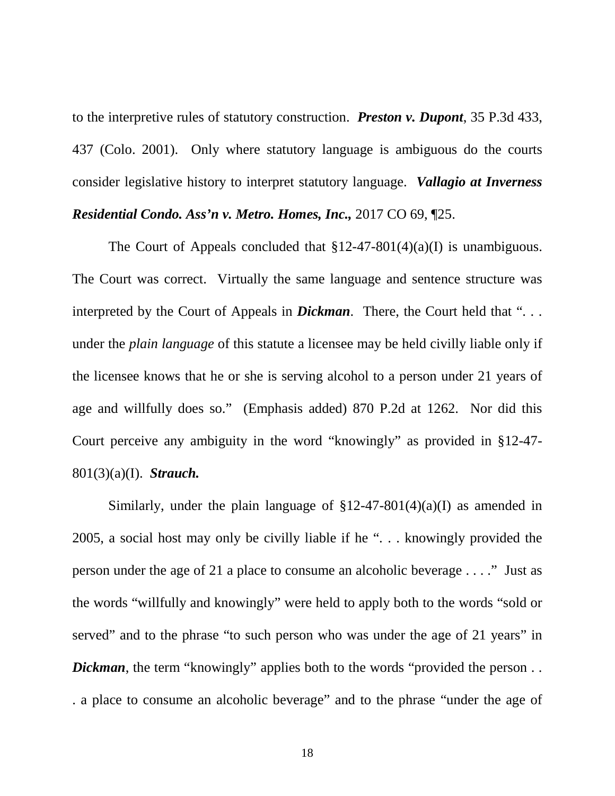<span id="page-23-2"></span><span id="page-23-1"></span>to the interpretive rules of statutory construction. *Preston v. Dupont*, 35 P.3d 433, 437 (Colo. 2001). Only where statutory language is ambiguous do the courts consider legislative history to interpret statutory language. *Vallagio at Inverness Residential Condo. Ass'n v. Metro. Homes, Inc.,* 2017 CO 69, ¶25.

The Court of Appeals concluded that  $$12-47-801(4)(a)(I)$  is unambiguous. The Court was correct. Virtually the same language and sentence structure was interpreted by the Court of Appeals in *Dickman*. There, the Court held that ". . . under the *plain language* of this statute a licensee may be held civilly liable only if the licensee knows that he or she is serving alcohol to a person under 21 years of age and willfully does so." (Emphasis added) 870 P.2d at 1262. Nor did this Court perceive any ambiguity in the word "knowingly" as provided in §12-47- 801(3)(a)(I). *Strauch.*

<span id="page-23-3"></span><span id="page-23-0"></span>Similarly, under the plain language of  $$12-47-801(4)(a)(I)$  as amended in 2005, a social host may only be civilly liable if he ". . . knowingly provided the person under the age of 21 a place to consume an alcoholic beverage . . . ." Just as the words "willfully and knowingly" were held to apply both to the words "sold or served" and to the phrase "to such person who was under the age of 21 years" in *Dickman*, the term "knowingly" applies both to the words "provided the person... . a place to consume an alcoholic beverage" and to the phrase "under the age of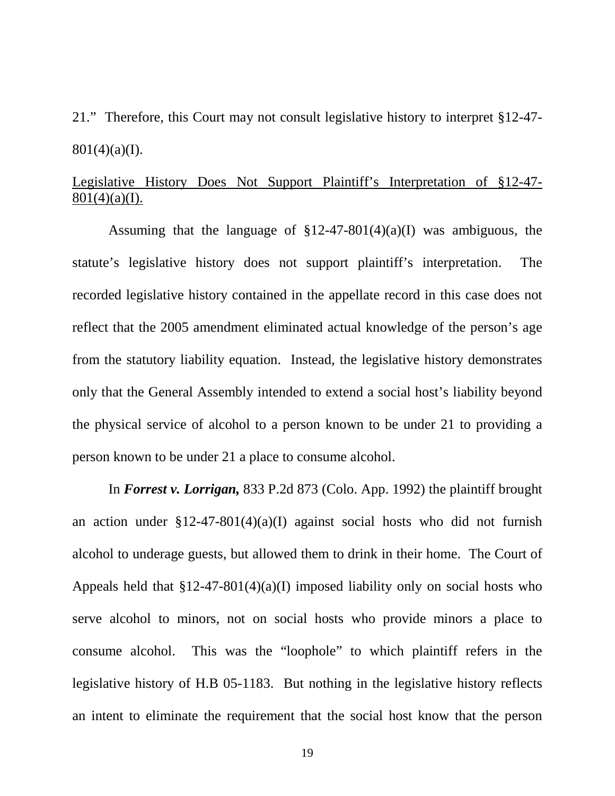21." Therefore, this Court may not consult legislative history to interpret §12-47-  $801(4)(a)(I)$ .

# Legislative History Does Not Support Plaintiff's Interpretation of §12-47-  $801(4)(a)(I)$ .

Assuming that the language of  $$12-47-801(4)(a)(I)$  was ambiguous, the statute's legislative history does not support plaintiff's interpretation. The recorded legislative history contained in the appellate record in this case does not reflect that the 2005 amendment eliminated actual knowledge of the person's age from the statutory liability equation. Instead, the legislative history demonstrates only that the General Assembly intended to extend a social host's liability beyond the physical service of alcohol to a person known to be under 21 to providing a person known to be under 21 a place to consume alcohol.

<span id="page-24-0"></span>In *Forrest v. Lorrigan,* 833 P.2d 873 (Colo. App. 1992) the plaintiff brought an action under  $$12-47-801(4)(a)(I)$  against social hosts who did not furnish alcohol to underage guests, but allowed them to drink in their home. The Court of Appeals held that  $$12-47-801(4)(a)$  imposed liability only on social hosts who serve alcohol to minors, not on social hosts who provide minors a place to consume alcohol. This was the "loophole" to which plaintiff refers in the legislative history of H.B 05-1183. But nothing in the legislative history reflects an intent to eliminate the requirement that the social host know that the person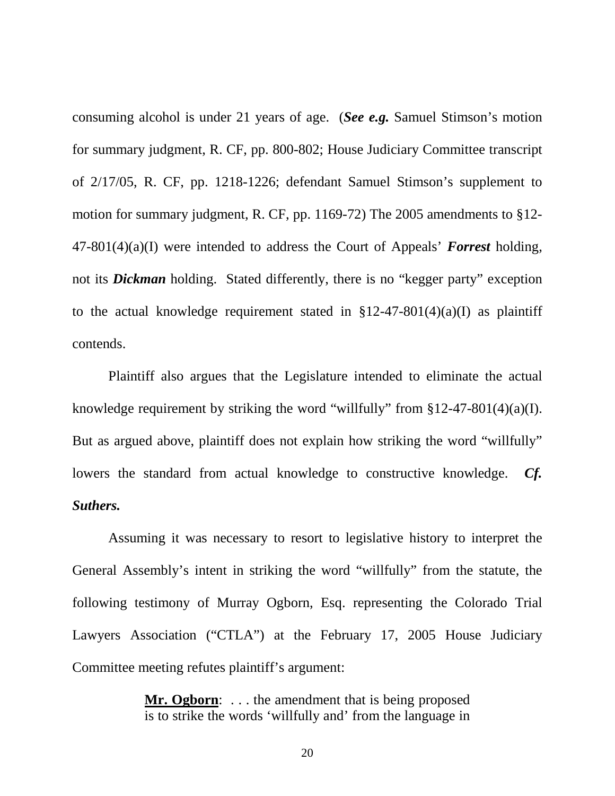consuming alcohol is under 21 years of age. (*See e.g.* Samuel Stimson's motion for summary judgment, R. CF, pp. 800-802; House Judiciary Committee transcript of 2/17/05, R. CF, pp. 1218-1226; defendant Samuel Stimson's supplement to motion for summary judgment, R. CF, pp. 1169-72) The 2005 amendments to §12- 47-801(4)(a)(I) were intended to address the Court of Appeals' *Forrest* holding, not its *Dickman* holding. Stated differently, there is no "kegger party" exception to the actual knowledge requirement stated in  $$12-47-801(4)(a)(I)$  as plaintiff contends.

Plaintiff also argues that the Legislature intended to eliminate the actual knowledge requirement by striking the word "willfully" from  $\S 12-47-801(4)(a)(I)$ . But as argued above, plaintiff does not explain how striking the word "willfully" lowers the standard from actual knowledge to constructive knowledge. *Cf. Suthers.*

Assuming it was necessary to resort to legislative history to interpret the General Assembly's intent in striking the word "willfully" from the statute, the following testimony of Murray Ogborn, Esq. representing the Colorado Trial Lawyers Association ("CTLA") at the February 17, 2005 House Judiciary Committee meeting refutes plaintiff's argument:

> **Mr. Ogborn:** ... the amendment that is being proposed is to strike the words 'willfully and' from the language in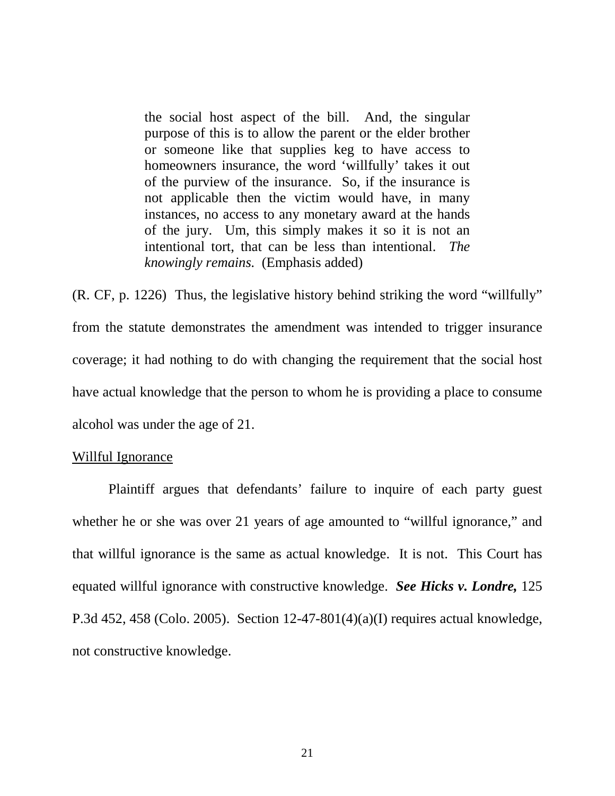the social host aspect of the bill. And, the singular purpose of this is to allow the parent or the elder brother or someone like that supplies keg to have access to homeowners insurance, the word 'willfully' takes it out of the purview of the insurance. So, if the insurance is not applicable then the victim would have, in many instances, no access to any monetary award at the hands of the jury. Um, this simply makes it so it is not an intentional tort, that can be less than intentional. *The knowingly remains.* (Emphasis added)

(R. CF, p. 1226) Thus, the legislative history behind striking the word "willfully" from the statute demonstrates the amendment was intended to trigger insurance coverage; it had nothing to do with changing the requirement that the social host have actual knowledge that the person to whom he is providing a place to consume alcohol was under the age of 21.

#### Willful Ignorance

<span id="page-26-0"></span>Plaintiff argues that defendants' failure to inquire of each party guest whether he or she was over 21 years of age amounted to "willful ignorance," and that willful ignorance is the same as actual knowledge. It is not. This Court has equated willful ignorance with constructive knowledge. *See Hicks v. Londre,* 125 P.3d 452, 458 (Colo. 2005). Section 12-47-801(4)(a)(I) requires actual knowledge, not constructive knowledge.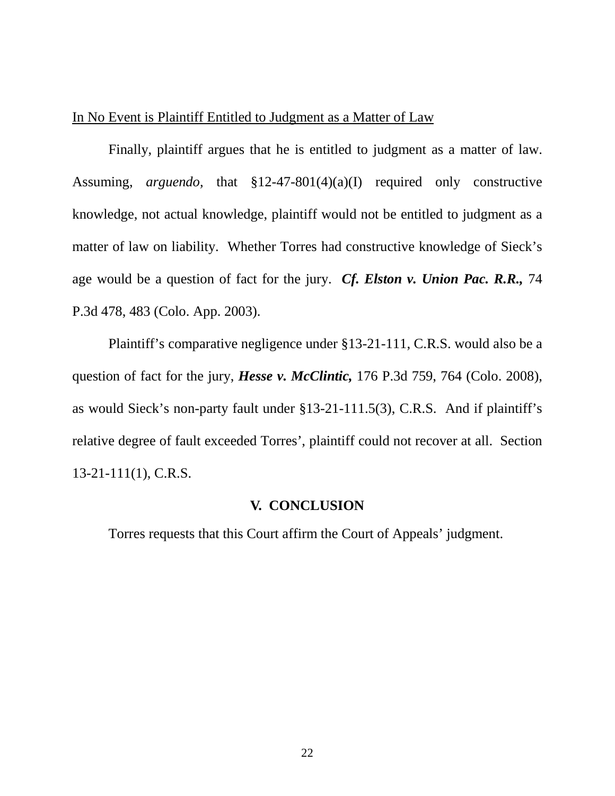### In No Event is Plaintiff Entitled to Judgment as a Matter of Law

Finally, plaintiff argues that he is entitled to judgment as a matter of law. Assuming, *arguendo,* that §12-47-801(4)(a)(I) required only constructive knowledge, not actual knowledge, plaintiff would not be entitled to judgment as a matter of law on liability. Whether Torres had constructive knowledge of Sieck's age would be a question of fact for the jury. *Cf. Elston v. Union Pac. R.R.,* 74 P.3d 478, 483 (Colo. App. 2003).

Plaintiff's comparative negligence under §13-21-111, C.R.S. would also be a question of fact for the jury, *Hesse v. McClintic,* 176 P.3d 759, 764 (Colo. 2008), as would Sieck's non-party fault under §13-21-111.5(3), C.R.S. And if plaintiff's relative degree of fault exceeded Torres', plaintiff could not recover at all. Section 13-21-111(1), C.R.S.

### <span id="page-27-3"></span><span id="page-27-2"></span><span id="page-27-1"></span>**V. CONCLUSION**

<span id="page-27-0"></span>Torres requests that this Court affirm the Court of Appeals' judgment.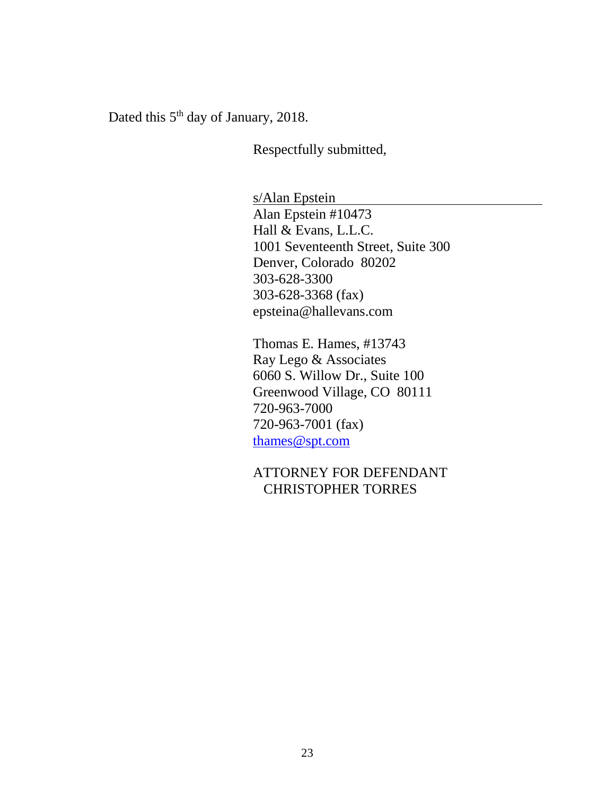Dated this 5<sup>th</sup> day of January, 2018.

Respectfully submitted,

s/Alan Epstein Alan Epstein #10473 Hall & Evans, L.L.C. 1001 Seventeenth Street, Suite 300 Denver, Colorado 80202 303-628-3300 303-628-3368 (fax) epsteina@hallevans.com

Thomas E. Hames, #13743 Ray Lego & Associates 6060 S. Willow Dr., Suite 100 Greenwood Village, CO 80111 720-963-7000 720-963-7001 (fax) [thames@spt.com](mailto:thames@spt.com)

ATTORNEY FOR DEFENDANT CHRISTOPHER TORRES